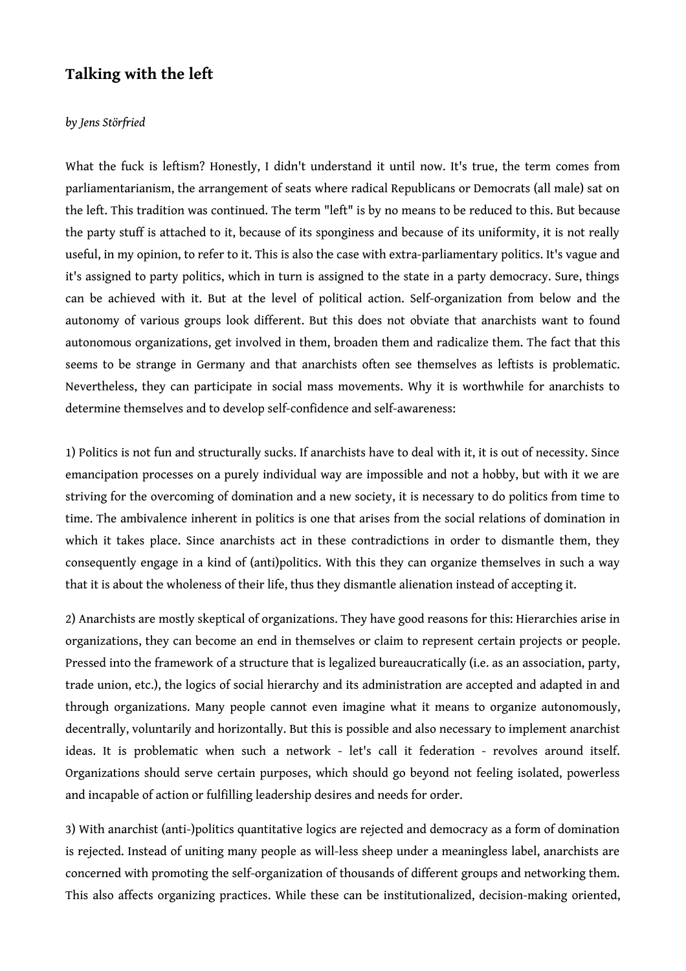## **Talking with the left**

## *by Jens Störfried*

What the fuck is leftism? Honestly, I didn't understand it until now. It's true, the term comes from parliamentarianism, the arrangement of seats where radical Republicans or Democrats (all male) sat on the left. This tradition was continued. The term "left" is by no means to be reduced to this. But because the party stuff is attached to it, because of its sponginess and because of its uniformity, it is not really useful, in my opinion, to refer to it. This is also the case with extra-parliamentary politics. It's vague and it's assigned to party politics, which in turn is assigned to the state in a party democracy. Sure, things can be achieved with it. But at the level of political action. Self-organization from below and the autonomy of various groups look different. But this does not obviate that anarchists want to found autonomous organizations, get involved in them, broaden them and radicalize them. The fact that this seems to be strange in Germany and that anarchists often see themselves as leftists is problematic. Nevertheless, they can participate in social mass movements. Why it is worthwhile for anarchists to determine themselves and to develop self-confidence and self-awareness:

1) Politics is not fun and structurally sucks. If anarchists have to deal with it, it is out of necessity. Since emancipation processes on a purely individual way are impossible and not a hobby, but with it we are striving for the overcoming of domination and a new society, it is necessary to do politics from time to time. The ambivalence inherent in politics is one that arises from the social relations of domination in which it takes place. Since anarchists act in these contradictions in order to dismantle them, they consequently engage in a kind of (anti)politics. With this they can organize themselves in such a way that it is about the wholeness of their life, thus they dismantle alienation instead of accepting it.

2) Anarchists are mostly skeptical of organizations. They have good reasons for this: Hierarchies arise in organizations, they can become an end in themselves or claim to represent certain projects or people. Pressed into the framework of a structure that is legalized bureaucratically (i.e. as an association, party, trade union, etc.), the logics of social hierarchy and its administration are accepted and adapted in and through organizations. Many people cannot even imagine what it means to organize autonomously, decentrally, voluntarily and horizontally. But this is possible and also necessary to implement anarchist ideas. It is problematic when such a network - let's call it federation - revolves around itself. Organizations should serve certain purposes, which should go beyond not feeling isolated, powerless and incapable of action or fulfilling leadership desires and needs for order.

3) With anarchist (anti-)politics quantitative logics are rejected and democracy as a form of domination is rejected. Instead of uniting many people as will-less sheep under a meaningless label, anarchists are concerned with promoting the self-organization of thousands of different groups and networking them. This also affects organizing practices. While these can be institutionalized, decision-making oriented,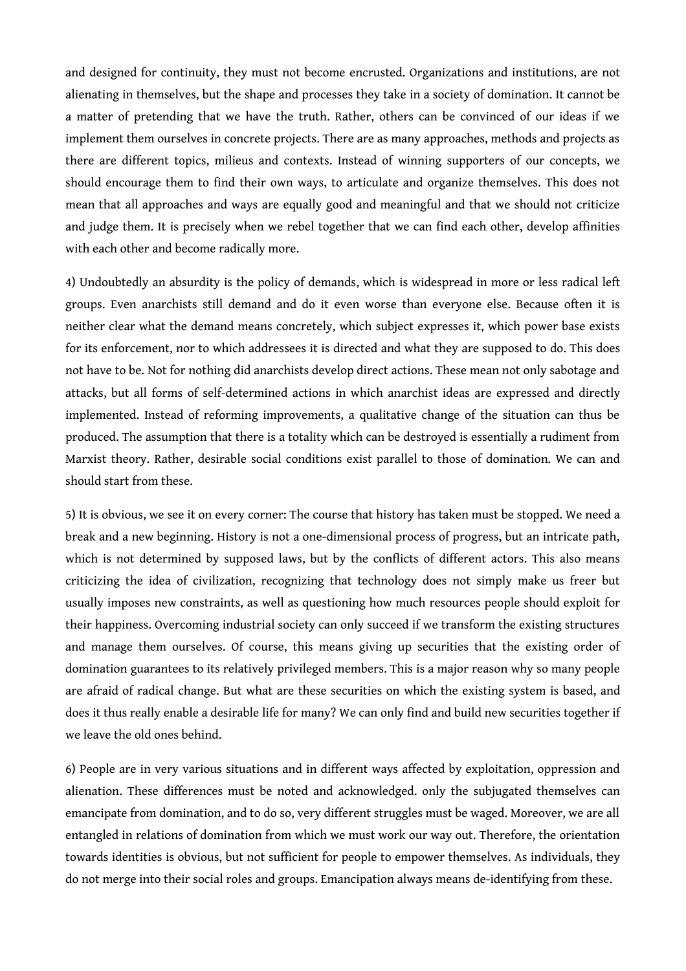and designed for continuity, they must not become encrusted. Organizations and institutions, are not alienating in themselves, but the shape and processes they take in a society of domination. It cannot be a matter of pretending that we have the truth. Rather, others can be convinced of our ideas if we implement them ourselves in concrete projects. There are as many approaches, methods and projects as there are different topics, milieus and contexts. Instead of winning supporters of our concepts, we should encourage them to find their own ways, to articulate and organize themselves. This does not mean that all approaches and ways are equally good and meaningful and that we should not criticize and judge them. It is precisely when we rebel together that we can find each other, develop affinities with each other and become radically more.

4) Undoubtedly an absurdity is the policy of demands, which is widespread in more or less radical left groups. Even anarchists still demand and do it even worse than everyone else. Because often it is neither clear what the demand means concretely, which subject expresses it, which power base exists for its enforcement, nor to which addressees it is directed and what they are supposed to do. This does not have to be. Not for nothing did anarchists develop direct actions. These mean not only sabotage and attacks, but all forms of self-determined actions in which anarchist ideas are expressed and directly implemented. Instead of reforming improvements, a qualitative change of the situation can thus be produced. The assumption that there is a totality which can be destroyed is essentially a rudiment from Marxist theory. Rather, desirable social conditions exist parallel to those of domination. We can and should start from these.

5) It is obvious, we see it on every corner: The course that history has taken must be stopped. We need a break and a new beginning. History is not a one-dimensional process of progress, but an intricate path, which is not determined by supposed laws, but by the conflicts of different actors. This also means criticizing the idea of civilization, recognizing that technology does not simply make us freer but usually imposes new constraints, as well as questioning how much resources people should exploit for their happiness. Overcoming industrial society can only succeed if we transform the existing structures and manage them ourselves. Of course, this means giving up securities that the existing order of domination guarantees to its relatively privileged members. This is a major reason why so many people are afraid of radical change. But what are these securities on which the existing system is based, and does it thus really enable a desirable life for many? We can only find and build new securities together if we leave the old ones behind.

6) People are in very various situations and in different ways affected by exploitation, oppression and alienation. These differences must be noted and acknowledged. only the subjugated themselves can emancipate from domination, and to do so, very different struggles must be waged. Moreover, we are all entangled in relations of domination from which we must work our way out. Therefore, the orientation towards identities is obvious, but not sufficient for people to empower themselves. As individuals, they do not merge into their social roles and groups. Emancipation always means de-identifying from these.